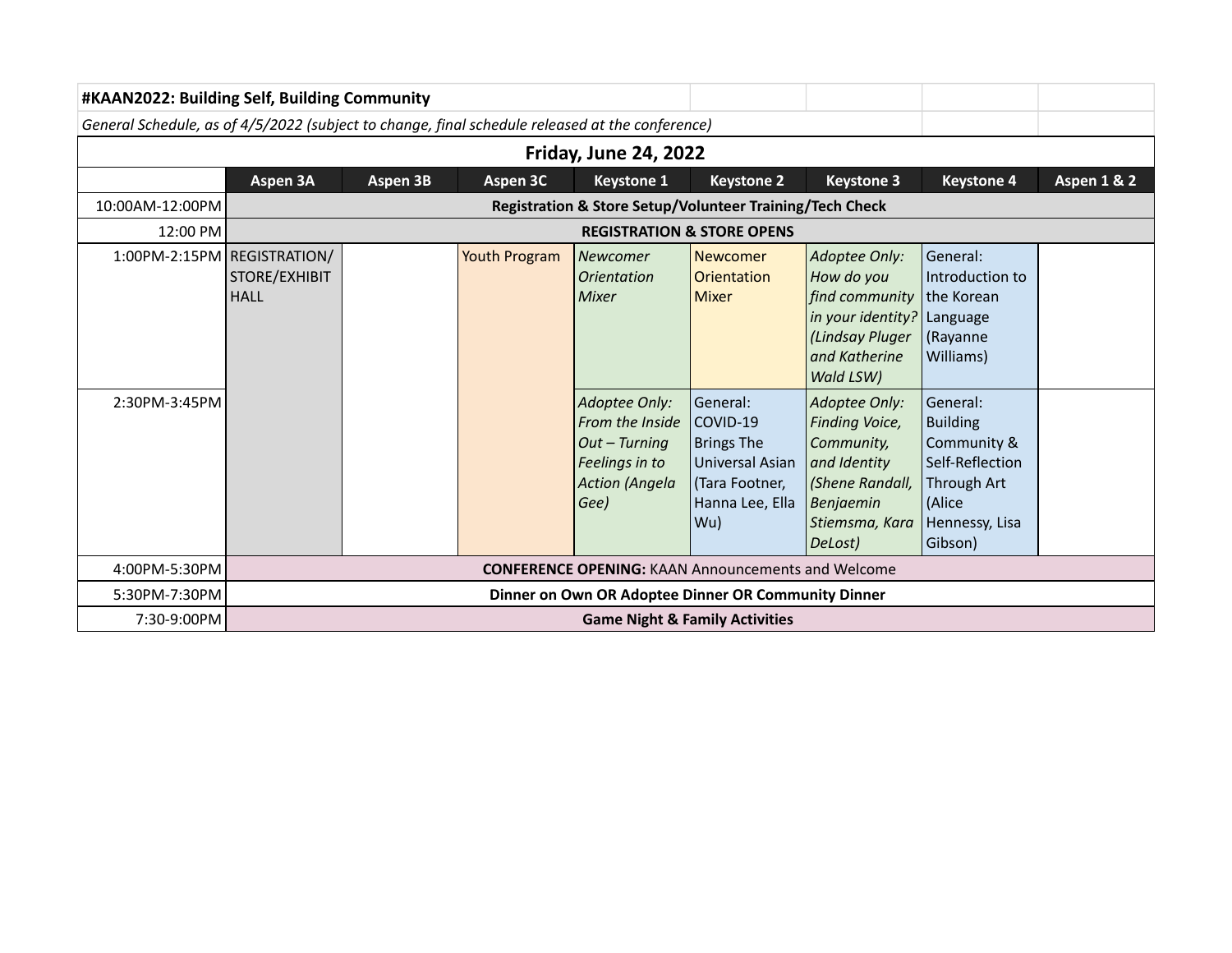| #KAAN2022: Building Self, Building Community                                                    |                                                             |                                                     |               |                                                                                                      |                                                                                                          |                                                                                                                            |                                                                                                                     |                        |  |  |  |
|-------------------------------------------------------------------------------------------------|-------------------------------------------------------------|-----------------------------------------------------|---------------|------------------------------------------------------------------------------------------------------|----------------------------------------------------------------------------------------------------------|----------------------------------------------------------------------------------------------------------------------------|---------------------------------------------------------------------------------------------------------------------|------------------------|--|--|--|
| General Schedule, as of 4/5/2022 (subject to change, final schedule released at the conference) |                                                             |                                                     |               |                                                                                                      |                                                                                                          |                                                                                                                            |                                                                                                                     |                        |  |  |  |
| <b>Friday, June 24, 2022</b>                                                                    |                                                             |                                                     |               |                                                                                                      |                                                                                                          |                                                                                                                            |                                                                                                                     |                        |  |  |  |
|                                                                                                 | Aspen 3A                                                    | Aspen 3B                                            | Aspen 3C      | <b>Keystone 1</b>                                                                                    | <b>Keystone 2</b>                                                                                        | <b>Keystone 3</b>                                                                                                          | <b>Keystone 4</b>                                                                                                   | <b>Aspen 1 &amp; 2</b> |  |  |  |
| 10:00AM-12:00PM                                                                                 | Registration & Store Setup/Volunteer Training/Tech Check    |                                                     |               |                                                                                                      |                                                                                                          |                                                                                                                            |                                                                                                                     |                        |  |  |  |
| 12:00 PM                                                                                        |                                                             | <b>REGISTRATION &amp; STORE OPENS</b>               |               |                                                                                                      |                                                                                                          |                                                                                                                            |                                                                                                                     |                        |  |  |  |
|                                                                                                 | 1:00PM-2:15PM REGISTRATION/<br>STORE/EXHIBIT<br><b>HALL</b> |                                                     | Youth Program | Newcomer<br><i><u><b>Orientation</b></u></i><br><b>Mixer</b>                                         | Newcomer<br><b>Orientation</b><br><b>Mixer</b>                                                           | Adoptee Only:<br>How do you<br>find community<br>in your identity?<br>(Lindsay Pluger<br>and Katherine<br>Wald LSW)        | General:<br>Introduction to<br>the Korean<br>Language<br>(Rayanne<br>Williams)                                      |                        |  |  |  |
| 2:30PM-3:45PM                                                                                   |                                                             |                                                     |               | Adoptee Only:<br>From the Inside<br>$Out-Turning$<br>Feelings in to<br><b>Action (Angela</b><br>Gee) | General:<br>COVID-19<br><b>Brings The</b><br>Universal Asian<br>(Tara Footner,<br>Hanna Lee, Ella<br>Wu) | Adoptee Only:<br>Finding Voice,<br>Community,<br>and Identity<br>(Shene Randall,<br>Benjaemin<br>Stiemsma, Kara<br>DeLost) | General:<br><b>Building</b><br>Community &<br>Self-Reflection<br>Through Art<br>(Alice<br>Hennessy, Lisa<br>Gibson) |                        |  |  |  |
| 4:00PM-5:30PM                                                                                   |                                                             |                                                     |               | <b>CONFERENCE OPENING: KAAN Announcements and Welcome</b>                                            |                                                                                                          |                                                                                                                            |                                                                                                                     |                        |  |  |  |
| 5:30PM-7:30PM                                                                                   |                                                             | Dinner on Own OR Adoptee Dinner OR Community Dinner |               |                                                                                                      |                                                                                                          |                                                                                                                            |                                                                                                                     |                        |  |  |  |
| 7:30-9:00PM                                                                                     | <b>Game Night &amp; Family Activities</b>                   |                                                     |               |                                                                                                      |                                                                                                          |                                                                                                                            |                                                                                                                     |                        |  |  |  |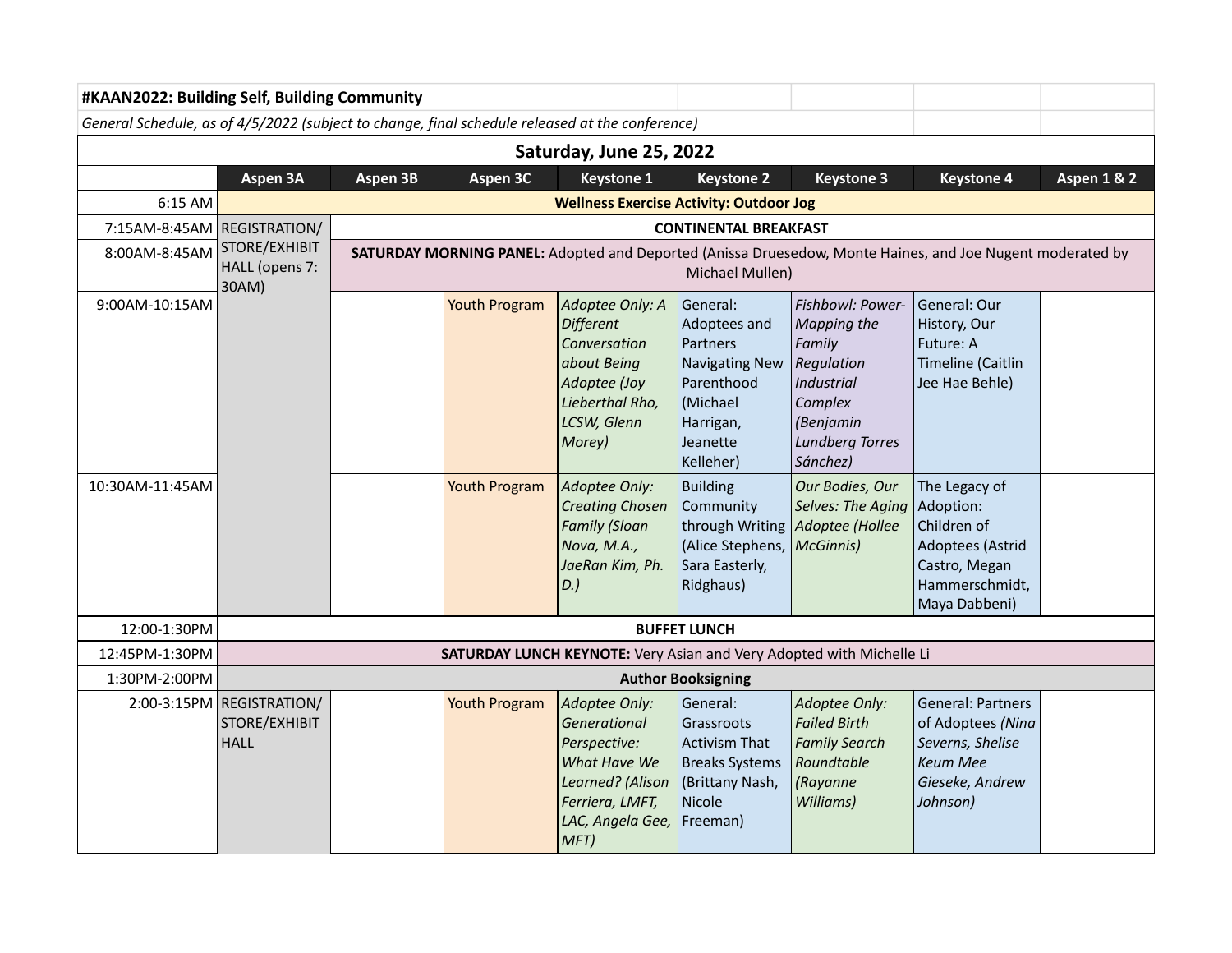| #KAAN2022: Building Self, Building Community                                                    |                                                           |                              |                                                                                                                              |                                                                                                                                                                           |                                                                                                                                                               |                                                                                                                                                                                    |                                                                                                                       |                        |  |  |  |
|-------------------------------------------------------------------------------------------------|-----------------------------------------------------------|------------------------------|------------------------------------------------------------------------------------------------------------------------------|---------------------------------------------------------------------------------------------------------------------------------------------------------------------------|---------------------------------------------------------------------------------------------------------------------------------------------------------------|------------------------------------------------------------------------------------------------------------------------------------------------------------------------------------|-----------------------------------------------------------------------------------------------------------------------|------------------------|--|--|--|
| General Schedule, as of 4/5/2022 (subject to change, final schedule released at the conference) |                                                           |                              |                                                                                                                              |                                                                                                                                                                           |                                                                                                                                                               |                                                                                                                                                                                    |                                                                                                                       |                        |  |  |  |
| Saturday, June 25, 2022                                                                         |                                                           |                              |                                                                                                                              |                                                                                                                                                                           |                                                                                                                                                               |                                                                                                                                                                                    |                                                                                                                       |                        |  |  |  |
|                                                                                                 | Aspen 3A                                                  | Aspen 3B                     | Aspen 3C                                                                                                                     | <b>Keystone 1</b>                                                                                                                                                         | <b>Keystone 2</b>                                                                                                                                             | <b>Keystone 3</b>                                                                                                                                                                  | <b>Keystone 4</b>                                                                                                     | <b>Aspen 1 &amp; 2</b> |  |  |  |
| 6:15 AM                                                                                         | <b>Wellness Exercise Activity: Outdoor Jog</b>            |                              |                                                                                                                              |                                                                                                                                                                           |                                                                                                                                                               |                                                                                                                                                                                    |                                                                                                                       |                        |  |  |  |
| 7:15AM-8:45AM REGISTRATION/                                                                     |                                                           | <b>CONTINENTAL BREAKFAST</b> |                                                                                                                              |                                                                                                                                                                           |                                                                                                                                                               |                                                                                                                                                                                    |                                                                                                                       |                        |  |  |  |
| 8:00AM-8:45AM                                                                                   | STORE/EXHIBIT<br>HALL (opens 7:<br>30AM)                  |                              | SATURDAY MORNING PANEL: Adopted and Deported (Anissa Druesedow, Monte Haines, and Joe Nugent moderated by<br>Michael Mullen) |                                                                                                                                                                           |                                                                                                                                                               |                                                                                                                                                                                    |                                                                                                                       |                        |  |  |  |
| 9:00AM-10:15AM<br>10:30AM-11:45AM                                                               |                                                           |                              | <b>Youth Program</b><br><b>Youth Program</b>                                                                                 | Adoptee Only: A<br><b>Different</b><br>Conversation<br>about Being<br>Adoptee (Joy<br>Lieberthal Rho,<br>LCSW, Glenn<br>Morey)<br>Adoptee Only:<br><b>Creating Chosen</b> | General:<br>Adoptees and<br>Partners<br><b>Navigating New</b><br>Parenthood<br>(Michael<br>Harrigan,<br>Jeanette<br>Kelleher)<br><b>Building</b><br>Community | Fishbowl: Power-<br>Mapping the<br>Family<br><b>Regulation</b><br>Industrial<br>Complex<br>(Benjamin<br><b>Lundberg Torres</b><br>Sánchez)<br>Our Bodies, Our<br>Selves: The Aging | General: Our<br>History, Our<br>Future: A<br><b>Timeline (Caitlin</b><br>Jee Hae Behle)<br>The Legacy of<br>Adoption: |                        |  |  |  |
|                                                                                                 |                                                           |                              |                                                                                                                              | <b>Family (Sloan</b><br>Nova, M.A.,<br>JaeRan Kim, Ph.<br>$D.$ )                                                                                                          | through Writing<br>(Alice Stephens,<br>Sara Easterly,<br>Ridghaus)                                                                                            | Adoptee (Hollee<br>McGinnis)                                                                                                                                                       | Children of<br>Adoptees (Astrid<br>Castro, Megan<br>Hammerschmidt,<br>Maya Dabbeni)                                   |                        |  |  |  |
| 12:00-1:30PM                                                                                    |                                                           |                              |                                                                                                                              |                                                                                                                                                                           | <b>BUFFET LUNCH</b>                                                                                                                                           |                                                                                                                                                                                    |                                                                                                                       |                        |  |  |  |
| 12:45PM-1:30PM                                                                                  |                                                           |                              |                                                                                                                              |                                                                                                                                                                           |                                                                                                                                                               | SATURDAY LUNCH KEYNOTE: Very Asian and Very Adopted with Michelle Li                                                                                                               |                                                                                                                       |                        |  |  |  |
| 1:30PM-2:00PM                                                                                   | <b>Author Booksigning</b>                                 |                              |                                                                                                                              |                                                                                                                                                                           |                                                                                                                                                               |                                                                                                                                                                                    |                                                                                                                       |                        |  |  |  |
|                                                                                                 | 2:00-3:15PM REGISTRATION/<br>STORE/EXHIBIT<br><b>HALL</b> |                              | <b>Youth Program</b>                                                                                                         | Adoptee Only:<br>Generational<br>Perspective:<br>What Have We<br>Learned? (Alison<br>Ferriera, LMFT,<br>LAC, Angela Gee,<br>MFT)                                          | General:<br>Grassroots<br><b>Activism That</b><br><b>Breaks Systems</b><br>(Brittany Nash,<br>Nicole<br>Freeman)                                              | Adoptee Only:<br><b>Failed Birth</b><br><b>Family Search</b><br>Roundtable<br>(Rayanne<br>Williams)                                                                                | <b>General: Partners</b><br>of Adoptees (Nina<br>Severns, Shelise<br><b>Keum Mee</b><br>Gieseke, Andrew<br>Johnson)   |                        |  |  |  |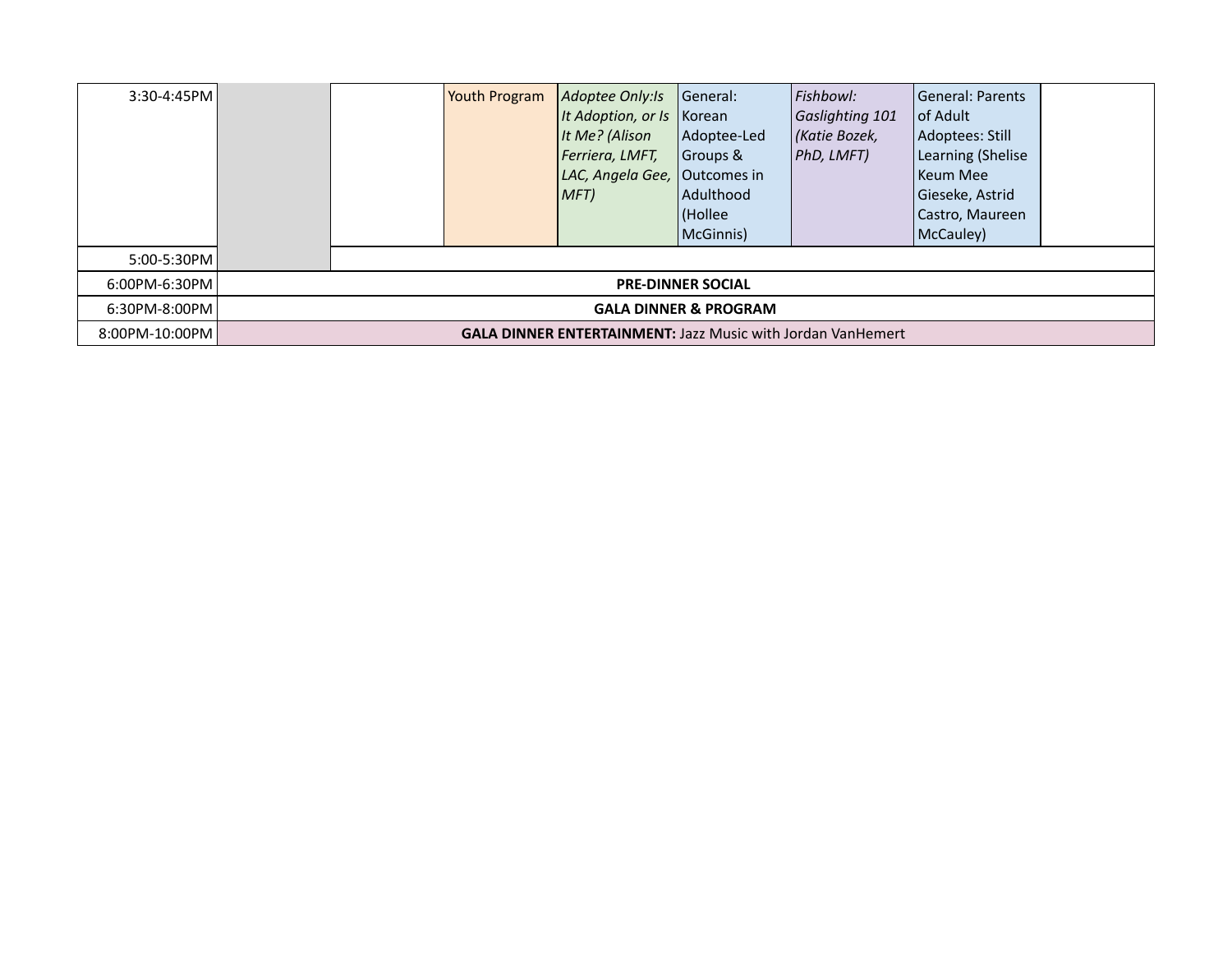| $3:30 - 4:45$ PM |                                                                    |                                  | Youth Program | Adoptee Only: Is<br>It Adoption, or Is Korean<br>It Me? (Alison<br>Ferriera, LMFT,<br>LAC, Angela Gee, Outcomes in<br>MFT | General:<br>Adoptee-Led<br>Groups &<br>Adulthood<br>(Hollee<br>McGinnis) | Fishbowl:<br>Gaslighting 101<br>Katie Bozek,<br> PhD, LMFT) | <b>General: Parents</b><br>l of Adult I<br>Adoptees: Still<br>Learning (Shelise<br><b>Keum Mee</b><br>Gieseke, Astrid<br>Castro, Maureen<br>McCauley) |  |  |  |
|------------------|--------------------------------------------------------------------|----------------------------------|---------------|---------------------------------------------------------------------------------------------------------------------------|--------------------------------------------------------------------------|-------------------------------------------------------------|-------------------------------------------------------------------------------------------------------------------------------------------------------|--|--|--|
| 5:00-5:30PM      |                                                                    |                                  |               |                                                                                                                           |                                                                          |                                                             |                                                                                                                                                       |  |  |  |
| 6:00PM-6:30PM    |                                                                    | <b>PRE-DINNER SOCIAL</b>         |               |                                                                                                                           |                                                                          |                                                             |                                                                                                                                                       |  |  |  |
| 6:30PM-8:00PM    |                                                                    | <b>GALA DINNER &amp; PROGRAM</b> |               |                                                                                                                           |                                                                          |                                                             |                                                                                                                                                       |  |  |  |
| 8:00PM-10:00PM   | <b>GALA DINNER ENTERTAINMENT: Jazz Music with Jordan VanHemert</b> |                                  |               |                                                                                                                           |                                                                          |                                                             |                                                                                                                                                       |  |  |  |